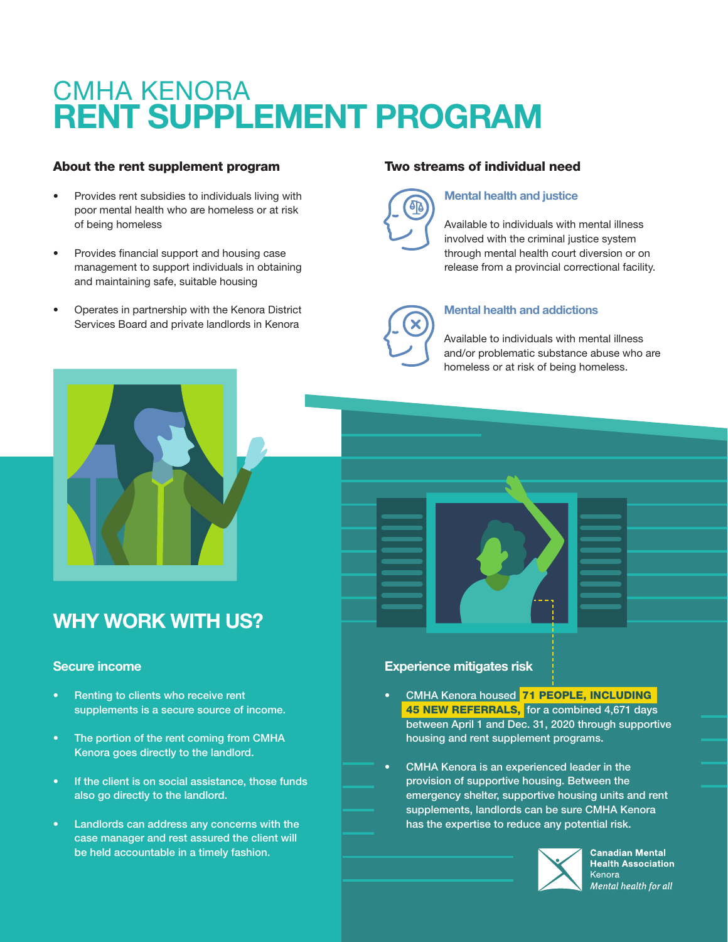# [CMHA KENORA](https://www.cmhak.on.ca/) RENT SUPPLEMENT PROGRAM

# About the rent supplement program

- Provides rent subsidies to individuals living with poor mental health who are homeless or at risk of being homeless
- Provides financial support and housing case management to support individuals in obtaining and maintaining safe, suitable housing
- Operates in partnership with the Kenora District Services Board and private landlords in Kenora

# Two streams of individual need



#### Mental health and justice

Available to individuals with mental illness involved with the criminal justice system through mental health court diversion or on release from a provincial correctional facility.



#### Mental health and addictions

Available to individuals with mental illness and/or problematic substance abuse who are homeless or at risk of being homeless.



# WHY WORK WITH US?

#### Secure income

- Renting to clients who receive rent supplements is a secure source of income.
- The portion of the rent coming from CMHA Kenora goes directly to the landlord.
- If the client is on social assistance, those funds also go directly to the landlord.
- Landlords can address any concerns with the case manager and rest assured the client will be held accountable in a timely fashion.

#### Experience mitigates risk

- CMHA Kenora housed 71 PEOPLE, INCLUDING 45 NEW REFERRALS, for a combined 4,671 days between April 1 and Dec. 31, 2020 through supportive housing and rent supplement programs.
- CMHA Kenora is an experienced leader in the provision of supportive housing. Between the emergency shelter, supportive housing units and rent supplements, landlords can be sure CMHA Kenora has the expertise to reduce any potential risk.



**Canadian Mental Health Association** Kenora Mental health for all